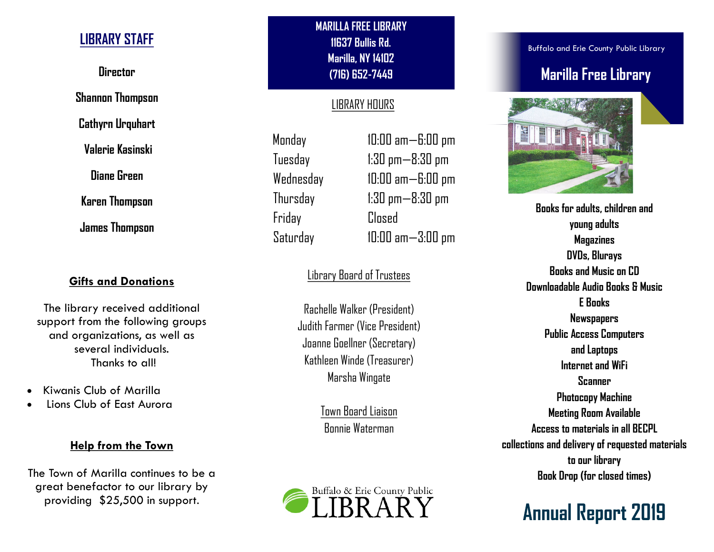## **LIBRARY STAFF**

**Director**

**Shannon Thompson**

**Cathyrn Urquhart**

**Valerie Kasinski**

**Diane Green**

**Karen Thompson**

**James Thompson**

### **Gifts and Donations**

The library received additional support from the following groups and organizations, as well as several individuals. Thanks to all!

- Kiwanis Club of Marilla
- Lions Club of East Aurora

#### **Help from the Town**

The Town of Marilla continues to be a great benefactor to our library by providing \$25,500 in support.

**MARILLA FREE LIBRARY 11637 Bullis Rd. Marilla, NY 14102 (716) 652-7449** 

### LIBRARY HOURS

Monday 10:00 am—6:00 pm Friday Closed

Tuesday 1:30 pm—8:30 pm Wednesday 10:00 am—6:00 pm Thursday 1:30 pm—8:30 pm Saturday 10:00 am—3:00 pm

## Library Board of Trustees

Rachelle Walker (President) Judith Farmer (Vice President) Joanne Goellner (Secretary) Kathleen Winde (Treasurer) Marsha Wingate

> Town Board Liaison Bonnie Waterman



Buffalo and Erie County Public Library

## **Marilla Free Library**



**Books for adults, children and young adults Magazines DVDs, Blurays Books and Music on CD Downloadable Audio Books & Music E Books Newspapers Public Access Computers and Laptops Internet and WiFi Scanner Photocopy Machine Meeting Room Available Access to materials in all BECPL collections and delivery of requested materials to our library Book Drop (for closed times)**

# **Annual Report 2019**